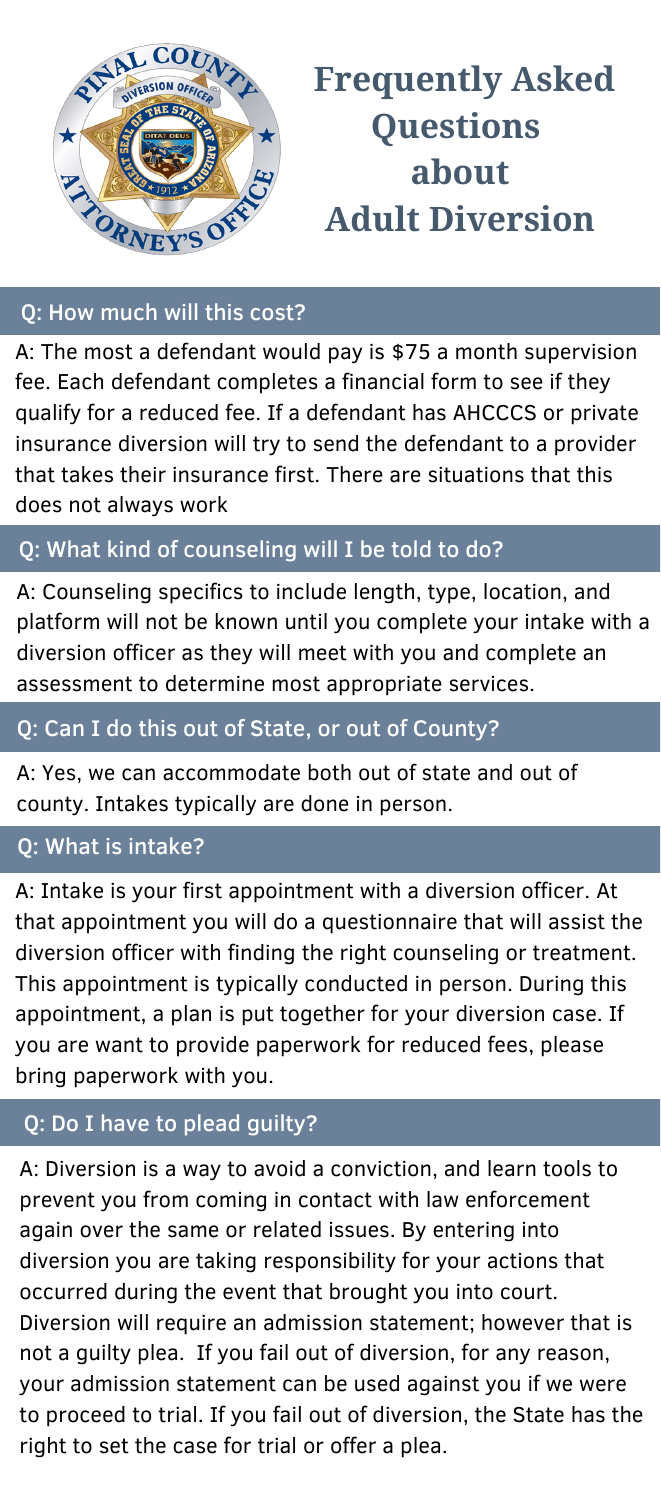A: Intake is your first appointment with a diversion officer. At that appointment you will do a questionnaire that will assist the diversion officer with finding the right counseling or treatment. This appointment is typically conducted in person. During this appointment, a plan is put together for your diversion case. If you are want to provide paperwork for reduced fees, please bring paperwork with you.

A: Counseling specifics to include length, type, location, and platform will not be known until you complete your intake with a diversion officer as they will meet with you and complete an assessment to determine most appropriate services.

A: The most a defendant would pay is \$75 a month supervision fee. Each defendant completes a financial form to see if they qualify for a reduced fee. If a defendant has AHCCCS or private insurance diversion will try to send the defendant to a provider that takes their insurance first. There are situations that this does not always work



# **Frequently Asked Questions about Adult Diversion**

# Q: How much will this cost?

# Q: What kind of counseling will I be told to do?

# Q: Can I do this out of State, or out of County?

A: Yes, we can accommodate both out of state and out of county. Intakes typically are done in person.

Q: What is intake?

## Q: Do I have to plead guilty?

A: Diversion is a way to avoid a conviction, and learn tools to prevent you from coming in contact with law enforcement again over the same or related issues. By entering into diversion you are taking responsibility for your actions that occurred during the event that brought you into court. Diversion will require an admission statement; however that is not a guilty plea. If you fail out of diversion, for any reason, your admission statement can be used against you if we were to proceed to trial. If you fail out of diversion, the State has the right to set the case for trial or offer a plea.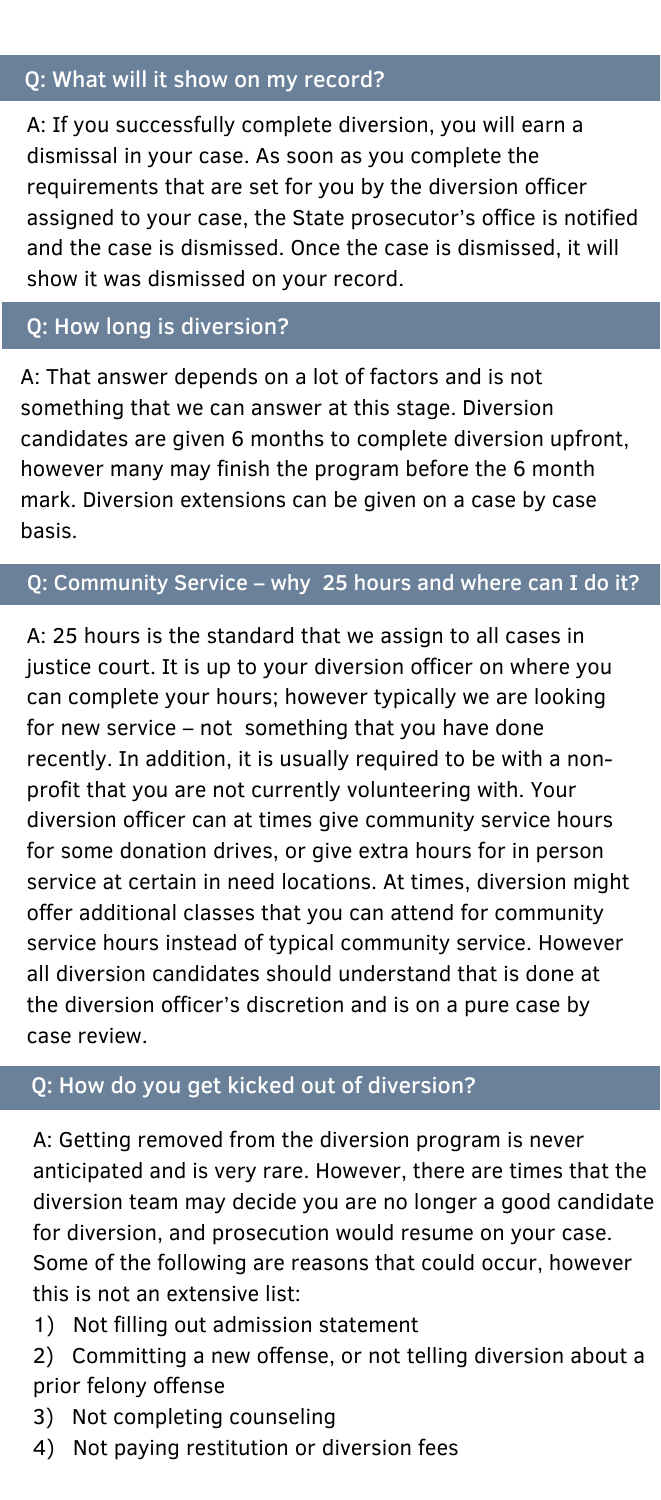A: That answer depends on a lot of factors and is not something that we can answer at this stage. Diversion candidates are given 6 months to complete diversion upfront, however many may finish the program before the 6 month mark. Diversion extensions can be given on a case by case basis.

A: If you successfully complete diversion, you will earn a dismissal in your case. As soon as you complete the requirements that are set for you by the diversion officer assigned to your case, the State prosecutor's office is notified and the case is dismissed. Once the case is dismissed, it will show it was dismissed on your record.

#### Q: How long is diversion?

#### Q: Community Service – why 25 hours and where can I do it?

A: Getting removed from the diversion program is never anticipated and is very rare. However, there are times that the diversion team may decide you are no longer a good candidate for diversion, and prosecution would resume on your case. Some of the following are reasons that could occur, however this is not an extensive list:

A: 25 hours is the standard that we assign to all cases in justice court. It is up to your diversion officer on where you can complete your hours; however typically we are looking for new service – not something that you have done recently. In addition, it is usually required to be with a nonprofit that you are not currently volunteering with. Your diversion officer can at times give community service hours for some donation drives, or give extra hours for in person service at certain in need locations. At times, diversion might offer additional classes that you can attend for community service hours instead of typical community service. However all diversion candidates should understand that is done at the diversion officer's discretion and is on a pure case by case review.

## Q: What will it show on my record?

- 1) Not filling out admission statement
- 2) Committing a new offense, or not telling diversion about a prior felony offense
- 3) Not completing counseling
- 4) Not paying restitution or diversion fees

## Q: How do you get kicked out of diversion?